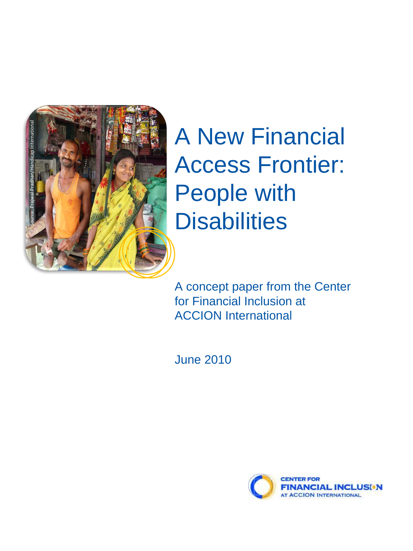

A New Financial Access Frontier: People with **Disabilities** 

A concept paper from the Center for Financial Inclusion at ACCION International

June 2010

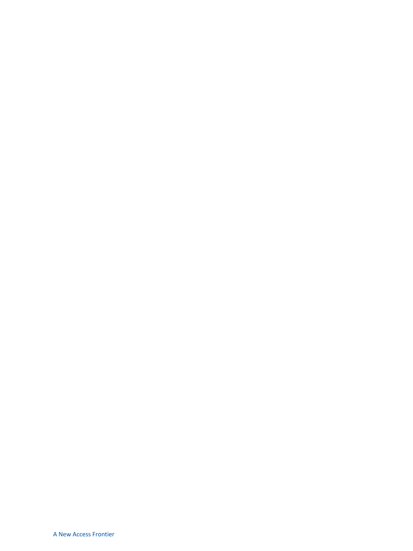A New Access Frontier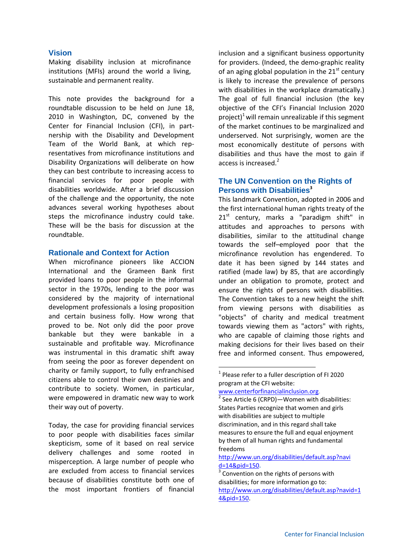### **Vision**

Making disability inclusion at microfinance institutions (MFIs) around the world a living, sustainable and permanent reality.

This note provides the background for a roundtable discussion to be held on June 18, 2010 in Washington, DC, convened by the Center for Financial Inclusion (CFI), in partnership with the Disability and Development Team of the World Bank, at which representatives from microfinance institutions and Disability Organizations will deliberate on how they can best contribute to increasing access to financial services for poor people with disabilities worldwide. After a brief discussion of the challenge and the opportunity, the note advances several working hypotheses about steps the microfinance industry could take. These will be the basis for discussion at the roundtable.

#### **Rationale and Context for Action**

When microfinance pioneers like ACCION International and the Grameen Bank first provided loans to poor people in the informal sector in the 1970s, lending to the poor was considered by the majority of international development professionals a losing proposition and certain business folly. How wrong that proved to be. Not only did the poor prove bankable but they were bankable in a sustainable and profitable way. Microfinance was instrumental in this dramatic shift away from seeing the poor as forever dependent on charity or family support, to fully enfranchised citizens able to control their own destinies and contribute to society. Women, in particular, were empowered in dramatic new way to work their way out of poverty.

Today, the case for providing financial services to poor people with disabilities faces similar skepticism, some of it based on real service delivery challenges and some rooted in misperception. A large number of people who are excluded from access to financial services because of disabilities constitute both one of the most important frontiers of financial

inclusion and a significant business opportunity for providers. (Indeed, the demo-graphic reality of an aging global population in the  $21<sup>st</sup>$  century is likely to increase the prevalence of persons with disabilities in the workplace dramatically.) The goal of full financial inclusion (the key objective of the CFI's Financial Inclusion 2020 project)<sup>1</sup> will remain unrealizable if this segment of the market continues to be marginalized and underserved. Not surprisingly, women are the most economically destitute of persons with disabilities and thus have the most to gain if access is increased. $2$ 

### **The UN Convention on the Rights of Persons with Disabilities<sup>3</sup>**

This landmark Convention, adopted in 2006 and the first international human rights treaty of the  $21<sup>st</sup>$  century, marks a "paradigm shift" in attitudes and approaches to persons with disabilities, similar to the attitudinal change towards the self–employed poor that the microfinance revolution has engendered. To date it has been signed by 144 states and ratified (made law) by 85, that are accordingly under an obligation to promote, protect and ensure the rights of persons with disabilities. The Convention takes to a new height the shift from viewing persons with disabilities as "objects" of charity and medical treatment towards viewing them as "actors" with rights, who are capable of claiming those rights and making decisions for their lives based on their free and informed consent. Thus empowered,

 1 Please refer to a fuller description of FI 2020 program at the CFI website:

www.centerforfinancialinclusion.org.

<sup>2</sup> See Article 6 (CRPD)—Women with disabilities: States Parties recognize that women and girls with disabilities are subject to multiple discrimination, and in this regard shall take measures to ensure the full and equal enjoyment by them of all human rights and fundamental freedoms

http://www.un.org/disabilities/default.asp?navi d=14&pid=150**.**

<sup>3</sup> Convention on the rights of persons with disabilities; for more information go to: http://www.un.org/disabilities/default.asp?navid=1 4&pid=150.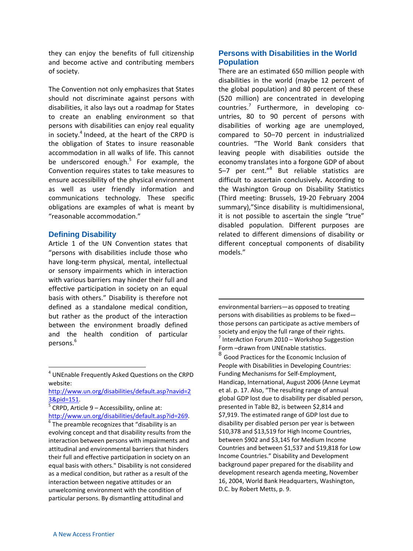they can enjoy the benefits of full citizenship and become active and contributing members of society.

The Convention not only emphasizes that States should not discriminate against persons with disabilities, it also lays out a roadmap for States to create an enabling environment so that persons with disabilities can enjoy real equality in society.<sup>4</sup> Indeed, at the heart of the CRPD is the obligation of States to insure reasonable accommodation in all walks of life. This cannot be underscored enough.<sup>5</sup> For example, the Convention requires states to take measures to ensure accessibility of the physical environment as well as user friendly information and communications technology. These specific obligations are examples of what is meant by "reasonable accommodation."

### **Defining Disability**

Article 1 of the UN Convention states that "persons with disabilities include those who have long‐term physical, mental, intellectual or sensory impairments which in interaction with various barriers may hinder their full and effective participation in society on an equal basis with others." Disability is therefore not defined as a standalone medical condition, but rather as the product of the interaction between the environment broadly defined and the health condition of particular persons.<sup>6</sup>

## **Persons with Disabilities in the World Population**

There are an estimated 650 million people with disabilities in the world (maybe 12 percent of the global population) and 80 percent of these (520 million) are concentrated in developing countries.<sup>7</sup> Furthermore, in developing countries, 80 to 90 percent of persons with disabilities of working age are unemployed, compared to 50–70 percent in industrialized countries. "The World Bank considers that leaving people with disabilities outside the economy translates into a forgone GDP of about 5–7 per cent."<sup>8</sup> But reliable statistics are difficult to ascertain conclusively**.** According to the Washington Group on Disability Statistics (Third meeting: Brussels, 19‐20 February 2004 summary),"Since disability is multidimensional, it is not possible to ascertain the single "true" disabled population. Different purposes are related to different dimensions of disability or different conceptual components of disability models."

environmental barriers—as opposed to treating persons with disabilities as problems to be fixed those persons can participate as active members of society and enjoy the full range of their rights.  $7$  InterAction Forum 2010 – Workshop Suggestion Form –drawn from UNEnable statistics.

 $\overline{a}$ 

<sup>8</sup> Good Practices for the Economic Inclusion of People with Disabilities in Developing Countries: Funding Mechanisms for Self‐Employment, Handicap, International, August 2006 (Anne Leymat et al. p. 17. Also, "The resulting range of annual global GDP lost due to disability per disabled person, presented in Table B2, is between \$2,814 and \$7,919. The estimated range of GDP lost due to disability per disabled person per year is between \$10,378 and \$13,519 for High Income Countries, between \$902 and \$3,145 for Medium Income Countries and between \$1,537 and \$19,818 for Low Income Countries." Disability and Development background paper prepared for the disability and development research agenda meeting, November 16, 2004, World Bank Headquarters, Washington, D.C. by Robert Metts, p. 9.

 4 UNEnable Frequently Asked Questions on the CRPD website:

http://www.un.org/disabilities/default.asp?navid=2 3&pid=151.

 $<sup>5</sup>$  CRPD, Article 9 – Accessibility, online at:</sup> http://www.un.org/disabilities/default.asp?id=269.

 $^6$  The preamble recognizes that "disability is an evolving concept and that disability results from the interaction between persons with impairments and attitudinal and environmental barriers that hinders their full and effective participation in society on an equal basis with others." Disability is not considered as a medical condition, but rather as a result of the interaction between negative attitudes or an unwelcoming environment with the condition of particular persons. By dismantling attitudinal and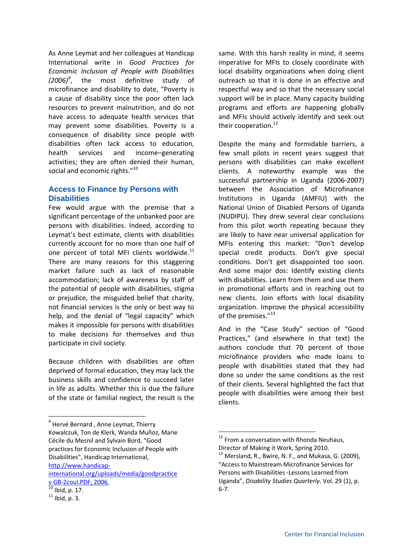As Anne Leymat and her colleagues at Handicap International write in *Good Practices for Economic Inclusion of People with Disabilities (2006)<sup>9</sup>* the most definitive study of microfinance and disability to date, "Poverty is a cause of disability since the poor often lack resources to prevent malnutrition, and do not have access to adequate health services that may prevent some disabilities. Poverty is a consequence of disability since people with disabilities often lack access to education, health services and income–generating activities; they are often denied their human, social and economic rights."<sup>10</sup>

## **Access to Finance by Persons with Disabilities**

Few would argue with the premise that a significant percentage of the unbanked poor are persons with disabilities. Indeed, according to Leymat's best estimate, clients with disabilities currently account for no more than one half of one percent of total MFI clients worldwide. $^{11}$ There are many reasons for this staggering market failure such as lack of reasonable accommodation; lack of awareness by staff of the potential of people with disabilities, stigma or prejudice, the misguided belief that charity, not financial services is the only or best way to help, and the denial of "legal capacity" which makes it impossible for persons with disabilities to make decisions for themselves and thus participate in civil society.

Because children with disabilities are often deprived of formal education, they may lack the business skills and confidence to succeed later in life as adults. Whether this is due the failure of the state or familial neglect, the result is the

http://www.handicap-

 $\overline{a}$ 

same. With this harsh reality in mind, it seems imperative for MFIs to closely coordinate with local disability organizations when doing client outreach so that it is done in an effective and respectful way and so that the necessary social support will be in place. Many capacity building programs and efforts are happening globally and MFIs should actively identify and seek out their cooperation.<sup>12</sup>

Despite the many and formidable barriers, a few small pilots in recent years suggest that persons with disabilities can make excellent clients. A noteworthy example was the successful partnership in Uganda (2006‐2007) between the Association of Microfinance Institutions in Uganda (AMFIU) with the National Union of Disabled Persons of Uganda (NUDIPU). They drew several clear conclusions from this pilot worth repeating because they are likely to have near universal application for MFIs entering this market: "Don't develop special credit products. Don't give special conditions. Don't get disappointed too soon. And some major dos: Identify existing clients with disabilities. Learn from them and use them in promotional efforts and in reaching out to new clients. Join efforts with local disability organization. Improve the physical accessibility of the premises."<sup>13</sup>

And in the "Case Study" section of "Good Practices," (and elsewhere in that text) the authors conclude that 70 percent of those microfinance providers who made loans to people with disabilities stated that they had done so under the same conditions as the rest of their clients. Several highlighted the fact that people with disabilities were among their best clients.

<sup>&</sup>lt;sup>9</sup> Hervé Bernard , Anne Leymat, Thierry Kowalczuk, Ton de Klerk, Wanda Muñoz, Marie Cécile du Mesnil and Sylvain Bord, "Good practices for Economic Inclusion of People with Disabilities", Handicap International,

international.org/uploads/media/goodpractice s‐GB‐2coul.PDF, 2006.

 $\frac{10}{10}$  Ibid, p. 17.

 $11$  Ibid, p. 3.

 $12$  From a conversation with Rhonda Neuhaus, Director of Making it Work, Spring 2010.

 $13$  Mersland, R., Bwire, N. F., and Mukasa, G. (2009), "Access to Mainstream Microfinance Services for Persons with Disabilities ‐Lessons Learned from Uganda", *Disability Studies Quarterly*. Vol. 29 (1), p. 6‐7.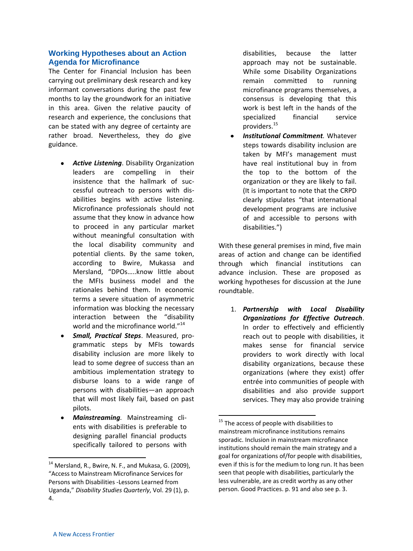### **Working Hypotheses about an Action Agenda for Microfinance**

The Center for Financial Inclusion has been carrying out preliminary desk research and key informant conversations during the past few months to lay the groundwork for an initiative in this area. Given the relative paucity of research and experience, the conclusions that can be stated with any degree of certainty are rather broad. Nevertheless, they do give guidance.

- *Active Listening*. Disability Organization leaders are compelling in their insistence that the hallmark of successful outreach to persons with disabilities begins with active listening. Microfinance professionals should not assume that they know in advance how to proceed in any particular market without meaningful consultation with the local disability community and potential clients. By the same token, according to Bwire, Mukassa and Mersland, "DPOs…..know little about the MFIs business model and the rationales behind them. In economic terms a severe situation of asymmetric information was blocking the necessary interaction between the "disability world and the microfinance world."<sup>14</sup>
- *Small, Practical Steps*. Measured, programmatic steps by MFIs towards disability inclusion are more likely to lead to some degree of success than an ambitious implementation strategy to disburse loans to a wide range of persons with disabilities—an approach that will most likely fail, based on past pilots.
- *Mainstreaming.* Mainstreaming clients with disabilities is preferable to designing parallel financial products specifically tailored to persons with

disabilities, because the latter approach may not be sustainable. While some Disability Organizations remain committed to running microfinance programs themselves, a consensus is developing that this work is best left in the hands of the specialized financial service providers. 15

*Institutional Commitment.* Whatever steps towards disability inclusion are taken by MFI's management must have real institutional buy in from the top to the bottom of the organization or they are likely to fail. (It is important to note that the CRPD clearly stipulates "that international development programs are inclusive of and accessible to persons with disabilities.")

With these general premises in mind, five main areas of action and change can be identified through which financial institutions can advance inclusion. These are proposed as working hypotheses for discussion at the June roundtable.

1. *Partnership with Local Disability Organizations for Effective Outreach*. In order to effectively and efficiently reach out to people with disabilities, it makes sense for financial service providers to work directly with local disability organizations, because these organizations (where they exist) offer entrée into communities of people with disabilities and also provide support services. They may also provide training

 $\overline{a}$ 

<sup>&</sup>lt;sup>14</sup> Mersland, R., Bwire, N. F., and Mukasa, G. (2009), "Access to Mainstream Microfinance Services for Persons with Disabilities ‐Lessons Learned from Uganda," *Disability Studies Quarterly*, Vol. 29 (1), p. 4.

 $15$  The access of people with disabilities to mainstream microfinance institutions remains sporadic. Inclusion in mainstream microfinance institutions should remain the main strategy and a goal for organizations of/for people with disabilities, even if this is for the medium to long run. It has been seen that people with disabilities, particularly the less vulnerable, are as credit worthy as any other person. Good Practices. p. 91 and also see p. 3.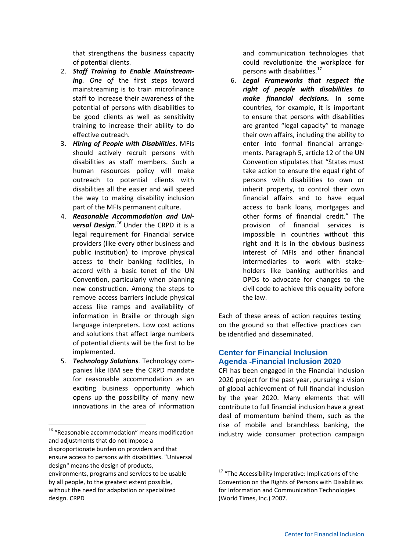that strengthens the business capacity of potential clients.

- 2. *Staff Training to Enable Mainstream*ing. One of the first steps toward mainstreaming is to train microfinance staff to increase their awareness of the potential of persons with disabilities to be good clients as well as sensitivity training to increase their ability to do effective outreach.
- 3. *Hiring of People with Disabilities***.** MFIs should actively recruit persons with disabilities as staff members. Such a human resources policy will make outreach to potential clients with disabilities all the easier and will speed the way to making disability inclusion part of the MFIs permanent culture.
- 4. *Reasonable Accommodation and Universal Design. <sup>16</sup>* Under the CRPD it is a legal requirement for Financial service providers (like every other business and public institution) to improve physical access to their banking facilities, in accord with a basic tenet of the UN Convention, particularly when planning new construction. Among the steps to remove access barriers include physical access like ramps and availability of information in Braille or through sign language interpreters. Low cost actions and solutions that affect large numbers of potential clients will be the first to be implemented.
- 5. *Technology Solutions.* Technology companies like IBM see the CRPD mandate for reasonable accommodation as an exciting business opportunity which opens up the possibility of many new innovations in the area of information

 $\overline{\phantom{a}}$ 

and communication technologies that could revolutionize the workplace for persons with disabilities. 17

6. *Legal Frameworks that respect the right of people with disabilities to make financial decisions.* In some countries, for example, it is important to ensure that persons with disabilities are granted "legal capacity" to manage their own affairs, including the ability to enter into formal financial arrangements. Paragraph 5, article 12 of the UN Convention stipulates that "States must take action to ensure the equal right of persons with disabilities to own or inherit property, to control their own financial affairs and to have equal access to bank loans, mortgages and other forms of financial credit." The provision of financial services is impossible in countries without this right and it is in the obvious business interest of MFIs and other financial intermediaries to work with stakeholders like banking authorities and DPOs to advocate for changes to the civil code to achieve this equality before the law.

Each of these areas of action requires testing on the ground so that effective practices can be identified and disseminated.

## **Center for Financial Inclusion Agenda** ‐**Financial Inclusion 2020**

CFI has been engaged in the Financial Inclusion 2020 project for the past year, pursuing a vision of global achievement of full financial inclusion by the year 2020. Many elements that will contribute to full financial inclusion have a great deal of momentum behind them, such as the rise of mobile and branchless banking, the industry wide consumer protection campaign

<sup>&</sup>lt;sup>16</sup> "Reasonable accommodation" means modification and adjustments that do not impose a disproportionate burden on providers and that ensure access to persons with disabilities. "Universal design" means the design of products, environments, programs and services to be usable by all people, to the greatest extent possible, without the need for adaptation or specialized design. CRPD

<sup>&</sup>lt;sup>17</sup> "The Accessibility Imperative: Implications of the Convention on the Rights of Persons with Disabilities for Information and Communication Technologies (World Times, Inc.) 2007.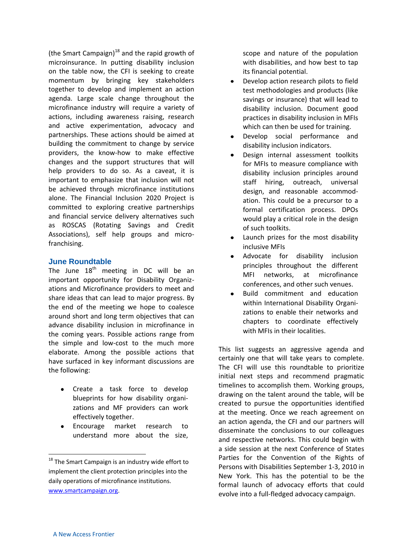(the Smart Campaign)<sup>18</sup> and the rapid growth of microinsurance. In putting disability inclusion on the table now, the CFI is seeking to create momentum by bringing key stakeholders together to develop and implement an action agenda. Large scale change throughout the microfinance industry will require a variety of actions, including awareness raising, research and active experimentation, advocacy and partnerships. These actions should be aimed at building the commitment to change by service providers, the know‐how to make effective changes and the support structures that will help providers to do so. As a caveat, it is important to emphasize that inclusion will not be achieved through microfinance institutions alone. The Financial Inclusion 2020 Project is committed to exploring creative partnerships and financial service delivery alternatives such as ROSCAS (Rotating Savings and Credit Associations), self help groups and microfranchising.

#### **June Roundtable**

The June 18<sup>th</sup> meeting in DC will be an important opportunity for Disability Organizations and Microfinance providers to meet and share ideas that can lead to major progress. By the end of the meeting we hope to coalesce around short and long term objectives that can advance disability inclusion in microfinance in the coming years. Possible actions range from the simple and low‐cost to the much more elaborate. Among the possible actions that have surfaced in key informant discussions are the following:

- Create a task force to develop blueprints for how disability organizations and MF providers can work effectively together.
- Encourage market research to understand more about the size,

scope and nature of the population with disabilities, and how best to tap its financial potential.

- Develop action research pilots to field test methodologies and products (like savings or insurance) that will lead to disability inclusion. Document good practices in disability inclusion in MFIs which can then be used for training.
- Develop social performance and disability inclusion indicators.
- Design internal assessment toolkits for MFIs to measure compliance with disability inclusion principles around staff hiring, outreach, universal design, and reasonable accommodation. This could be a precursor to a formal certification process. DPOs would play a critical role in the design of such toolkits.
- Launch prizes for the most disability inclusive MFIs
- Advocate for disability inclusion principles throughout the different MFI networks, at microfinance conferences, and other such venues.
- Build commitment and education within International Disability Organizations to enable their networks and chapters to coordinate effectively with MFIs in their localities.

This list suggests an aggressive agenda and certainly one that will take years to complete. The CFI will use this roundtable to prioritize initial next steps and recommend pragmatic timelines to accomplish them. Working groups, drawing on the talent around the table, will be created to pursue the opportunities identified at the meeting. Once we reach agreement on an action agenda, the CFI and our partners will disseminate the conclusions to our colleagues and respective networks. This could begin with a side session at the next Conference of States Parties for the Convention of the Rights of Persons with Disabilities September 1‐3, 2010 in New York. This has the potential to be the formal launch of advocacy efforts that could evolve into a full‐fledged advocacy campaign.

 $18$  The Smart Campaign is an industry wide effort to implement the client protection principles into the daily operations of microfinance institutions. [www.smartcampaign.org.](http://www.smartcampaign.org/)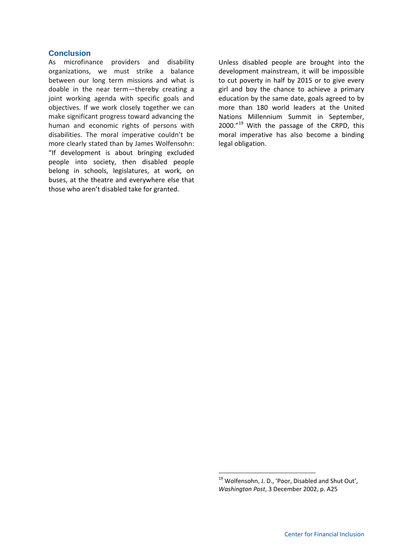### **Conclusion**

As microfinance providers and disability organizations, we must strike a balance between our long term missions and what is doable in the near term—thereby creating a joint working agenda with specific goals and objectives. If we work closely together we can make significant progress toward advancing the human and economic rights of persons with disabilities. The moral imperative couldn't be more clearly stated than by James Wolfensohn: "If development is about bringing excluded people into society, then disabled people belong in schools, legislatures, at work, on buses, at the theatre and everywhere else that those who aren't disabled take for granted.

Unless disabled people are brought into the development mainstream, it will be impossible to cut poverty in half by 2015 or to give every girl and boy the chance to achieve a primary education by the same date, goals agreed to by more than 180 world leaders at the United Nations Millennium Summit in September, 2000." <sup>19</sup> With the passage of the CRPD, this moral imperative has also become a binding legal obligation.

 $\overline{\phantom{a}}$ 

<sup>&</sup>lt;sup>19</sup> Wolfensohn, J. D., 'Poor, Disabled and Shut Out', *Washington Post*, 3 December 2002, p. A25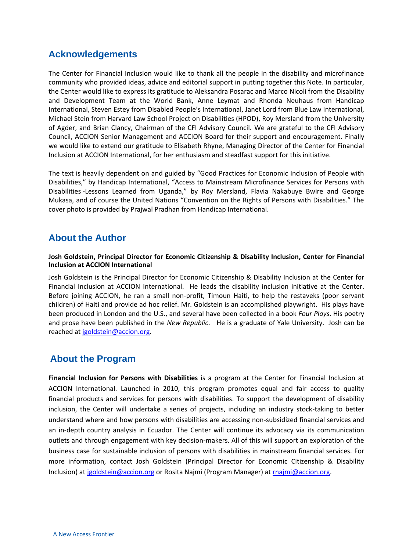# **Acknowledgements**

The Center for Financial Inclusion would like to thank all the people in the disability and microfinance community who provided ideas, advice and editorial support in putting together this Note. In particular, the Center would like to express its gratitude to Aleksandra Posarac and Marco Nicoli from the Disability and Development Team at the World Bank, Anne Leymat and Rhonda Neuhaus from Handicap International, Steven Estey from Disabled People's International, Janet Lord from Blue Law International, Michael Stein from Harvard Law School Project on Disabilities (HPOD), Roy Mersland from the University of Agder, and Brian Clancy, Chairman of the CFI Advisory Council. We are grateful to the CFI Advisory Council, ACCION Senior Management and ACCION Board for their support and encouragement. Finally we would like to extend our gratitude to Elisabeth Rhyne, Managing Director of the Center for Financial Inclusion at ACCION International, for her enthusiasm and steadfast support for this initiative.

The text is heavily dependent on and guided by "Good Practices for Economic Inclusion of People with Disabilities," by Handicap International, "Access to Mainstream Microfinance Services for Persons with Disabilities ‐Lessons Learned from Uganda," by Roy Mersland, Flavia Nakabuye Bwire and George Mukasa, and of course the United Nations "Convention on the Rights of Persons with Disabilities." The cover photo is provided by Prajwal Pradhan from Handicap International.

# **About the Author**

### **Josh Goldstein, Principal Director for Economic Citizenship & Disability Inclusion, Center for Financial Inclusion at ACCION International**

Josh Goldstein is the Principal Director for Economic Citizenship & Disability Inclusion at the Center for Financial Inclusion at ACCION International. He leads the disability inclusion initiative at the Center. Before joining ACCION, he ran a small non-profit, Timoun Haiti, to help the restaveks (poor servant children) of Haiti and provide ad hoc relief. Mr. Goldstein is an accomplished playwright. His plays have been produced in London and the U.S., and several have been collected in a book *Four Plays*. His poetry and prose have been published in the *New Republic*. He is a graduate of Yale University. Josh can be reached at [jgoldstein@accion.org.](mailto:jgoldstein@accion.org)

# **About the Program**

**Financial Inclusion for Persons with Disabilities** is a program at the Center for Financial Inclusion at ACCION International. Launched in 2010, this program promotes equal and fair access to quality financial products and services for persons with disabilities. To support the development of disability inclusion, the Center will undertake a series of projects, including an industry stock-taking to better understand where and how persons with disabilities are accessing non-subsidized financial services and an in-depth country analysis in Ecuador. The Center will continue its advocacy via its communication outlets and through engagement with key decision-makers. All of this will support an exploration of the business case for sustainable inclusion of persons with disabilities in mainstream financial services. For more information, contact Josh Goldstein (Principal Director for Economic Citizenship & Disability Inclusion) at [jgoldstein@accion.org](mailto:jgoldstein@accion.org) or Rosita Najmi (Program Manager) at [rnajmi@accion.org.](mailto:rnajmi@accion.org)